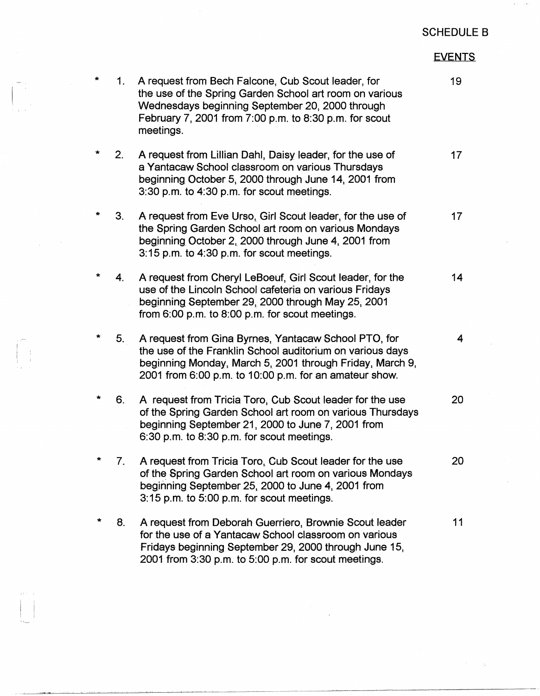## SCHEDULE B

## EVENTS

| $\star$ | 1.             | A request from Bech Falcone, Cub Scout leader, for<br>the use of the Spring Garden School art room on various<br>Wednesdays beginning September 20, 2000 through<br>February 7, 2001 from 7:00 p.m. to 8:30 p.m. for scout<br>meetings. | 19              |
|---------|----------------|-----------------------------------------------------------------------------------------------------------------------------------------------------------------------------------------------------------------------------------------|-----------------|
| $\star$ | 2.             | A request from Lillian Dahl, Daisy leader, for the use of<br>a Yantacaw School classroom on various Thursdays<br>beginning October 5, 2000 through June 14, 2001 from<br>3:30 p.m. to 4:30 p.m. for scout meetings.                     | 17 <sub>2</sub> |
| *       | 3.             | A request from Eve Urso, Girl Scout leader, for the use of<br>the Spring Garden School art room on various Mondays<br>beginning October 2, 2000 through June 4, 2001 from<br>3:15 p.m. to 4:30 p.m. for scout meetings.                 | 17 <sub>2</sub> |
| $\star$ | 4.             | A request from Cheryl LeBoeuf, Girl Scout leader, for the<br>use of the Lincoln School cafeteria on various Fridays<br>beginning September 29, 2000 through May 25, 2001<br>from 6:00 p.m. to 8:00 p.m. for scout meetings.             | 14              |
| *       | 5 <sub>1</sub> | A request from Gina Byrnes, Yantacaw School PTO, for<br>the use of the Franklin School auditorium on various days<br>beginning Monday, March 5, 2001 through Friday, March 9,<br>2001 from 6:00 p.m. to 10:00 p.m. for an amateur show. | 4               |
| *       | 6.             | A request from Tricia Toro, Cub Scout leader for the use<br>of the Spring Garden School art room on various Thursdays<br>beginning September 21, 2000 to June 7, 2001 from<br>6:30 p.m. to 8:30 p.m. for scout meetings.                | 20              |
|         | $\prime$ .     | A request from Tricia Toro, Cub Scout leader for the use<br>of the Spring Garden School art room on various Mondays<br>beginning September 25, 2000 to June 4, 2001 from<br>3:15 p.m. to 5:00 p.m. for scout meetings.                  | 20              |
| $\ast$  | 8.             | A request from Deborah Guerriero, Brownie Scout leader<br>for the use of a Yantacaw School classroom on various<br>Fridays beginning September 29, 2000 through June 15,<br>2001 from 3:30 p.m. to 5:00 p.m. for scout meetings.        | 11              |
|         |                |                                                                                                                                                                                                                                         |                 |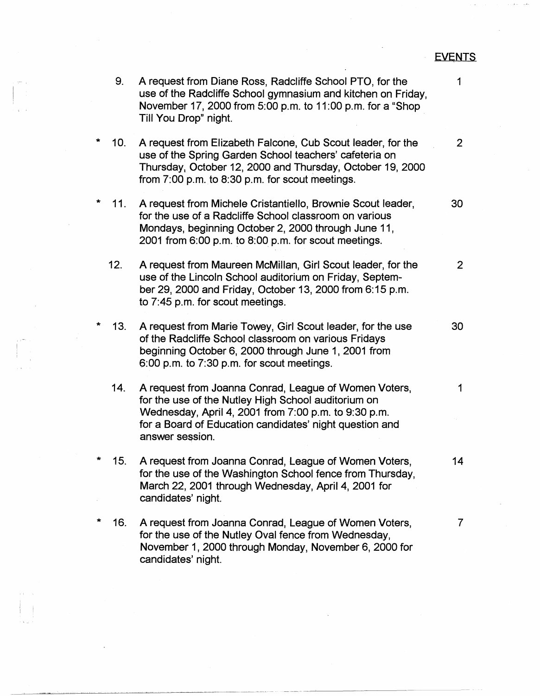## EVENTS

 $\mathcal{L}^{\mathcal{L}}$ 

|   | 9.  | A request from Diane Ross, Radcliffe School PTO, for the<br>use of the Radcliffe School gymnasium and kitchen on Friday,<br>November 17, 2000 from 5:00 p.m. to 11:00 p.m. for a "Shop<br>Till You Drop" night.                                    | 1              |
|---|-----|----------------------------------------------------------------------------------------------------------------------------------------------------------------------------------------------------------------------------------------------------|----------------|
|   | 10. | A request from Elizabeth Falcone, Cub Scout leader, for the<br>use of the Spring Garden School teachers' cafeteria on<br>Thursday, October 12, 2000 and Thursday, October 19, 2000<br>from 7:00 p.m. to 8:30 p.m. for scout meetings.              | $\overline{2}$ |
|   | 11. | A request from Michele Cristantiello, Brownie Scout leader,<br>for the use of a Radcliffe School classroom on various<br>Mondays, beginning October 2, 2000 through June 11,<br>2001 from 6:00 p.m. to 8:00 p.m. for scout meetings.               | 30             |
|   | 12. | A request from Maureen McMillan, Girl Scout leader, for the<br>use of the Lincoln School auditorium on Friday, Septem-<br>ber 29, 2000 and Friday, October 13, 2000 from 6:15 p.m.<br>to 7:45 p.m. for scout meetings.                             | $\mathbf{2}$   |
| * | 13. | A request from Marie Towey, Girl Scout leader, for the use<br>of the Radcliffe School classroom on various Fridays<br>beginning October 6, 2000 through June 1, 2001 from<br>6:00 p.m. to 7:30 p.m. for scout meetings.                            | 30             |
|   | 14. | A request from Joanna Conrad, League of Women Voters,<br>for the use of the Nutley High School auditorium on<br>Wednesday, April 4, 2001 from 7:00 p.m. to 9:30 p.m.<br>for a Board of Education candidates' night question and<br>answer session. | 1              |
|   | 15. | A request from Joanna Conrad, League of Women Voters,<br>for the use of the Washington School fence from Thursday,<br>March 22, 2001 through Wednesday, April 4, 2001 for<br>candidates' night.                                                    | 14             |
| * | 16. | A request from Joanna Conrad, League of Women Voters,<br>for the use of the Nutley Oval fence from Wednesday,<br>November 1, 2000 through Monday, November 6, 2000 for<br>candidates' night.                                                       | 7              |

---·-··· -·--··---~-----------